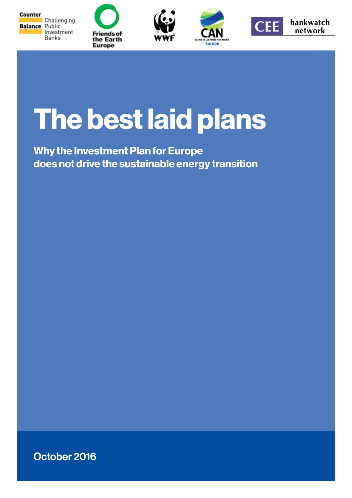









# **The best laid plans**

**Why the Investment Plan for Europe does not drive the sustainable energy transition**

October 2016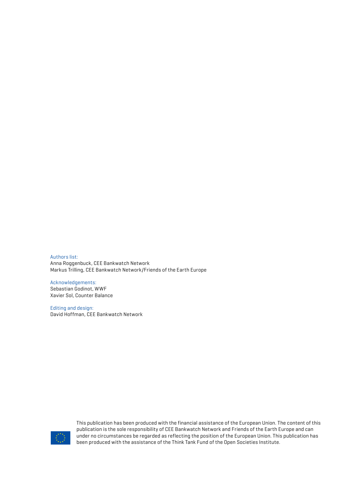Authors list: Anna Roggenbuck, CEE Bankwatch Network Markus Trilling, CEE Bankwatch Network/Friends of the Earth Europe

Acknowledgements: Sebastian Godinot, WWF Xavier Sol, Counter Balance

Editing and design: David Hoffman, CEE Bankwatch Network



This publication has been produced with the financial assistance of the European Union. The content of this publication is the sole responsibility of CEE Bankwatch Network and Friends of the Earth Europe and can under no circumstances be regarded as reflecting the position of the European Union. This publication has been produced with the assistance of the Think Tank Fund of the Open Societies Institute.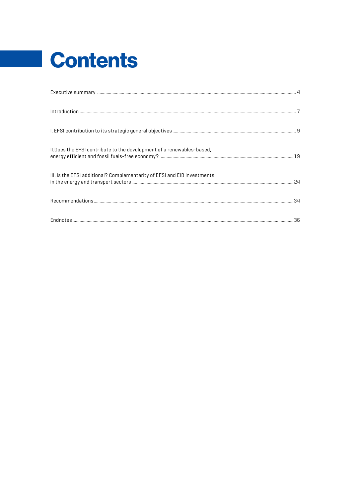### **Contents**

| II.Does the EFSI contribute to the development of a renewables-based,    |  |
|--------------------------------------------------------------------------|--|
| III. Is the EFSI additional? Complementarity of EFSI and EIB investments |  |
|                                                                          |  |
|                                                                          |  |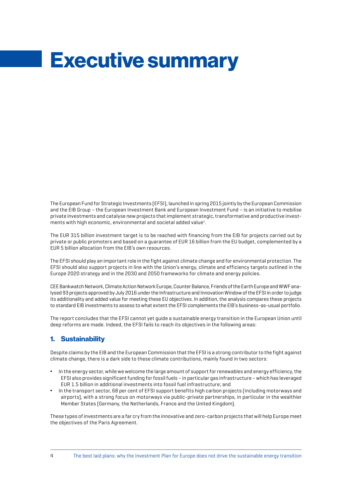### **Executive summary**

The European Fund for Strategic Investments (EFSI), launched in spring 2015 jointly by the European Commission and the EIB Group – the European Investment Bank and European Investment Fund – is an initiative to mobilise private investments and catalyse new projects that implement strategic, transformative and productive investments with high economic, environmental and societal added value<sup>1</sup>.

The EUR 315 billion investment target is to be reached with financing from the EIB for projects carried out by private or public promoters and based on a guarantee of EUR 16 billion from the EU budget, complemented by a EUR 5 billion allocation from the EIB's own resources.

The EFSI should play an important role in the fight against climate change and for environmental protection. The EFSI should also support projects in line with the Union's energy, climate and efficiency targets outlined in the Europe 2020 strategy and in the 2030 and 2050 frameworks for climate and energy policies.

CEE Bankwatch Network, Climate Action Network Europe, Counter Balance, Friends of the Earth Europe and WWF analysed 93 projects approved by July 2016 under the Infrastructure and Innovation Window of the EFSI in order to judge its additionality and added value for meeting these EU objectives. In addition, the analysis compares these projects to standard EIB investments to assess to what extent the EFSI complements the EIB's business-as-usual portfolio.

The report concludes that the EFSI cannot yet guide a sustainable energy transition in the European Union until deep reforms are made. Indeed, the EFSI fails to reach its objectives in the following areas:

### **1. Sustainability**

Despite claims by the EIB and the European Commission that the EFSI is a strong contributor to the fight against climate change, there is a dark side to these climate contributions, mainly found in two sectors:

- In the energy sector, while we welcome the large amount of support for renewables and energy efficiency, the EFSI also provides significant funding for fossil fuels – in particular gas infrastructure – which has leveraged EUR 1.5 billion in additional investments into fossil fuel infrastructure; and
- In the transport sector, 68 per cent of EFSI support benefits high carbon projects (including motorways and airports), with a strong focus on motorways via public-private partnerships, in particular in the wealthier Member States (Germany, the Netherlands, France and the United Kingdom).

These types of investments are a far cry from the innovative and zero-carbon projects that will help Europe meet the objectives of the Paris Agreement.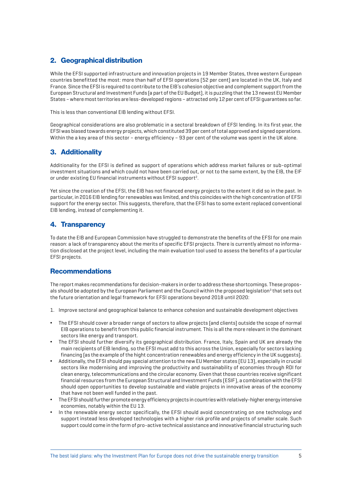### **2. Geographical distribution**

While the EFSI supported infrastructure and innovation projects in 19 Member States, three western European countries benefitted the most: more than half of EFSI operations (52 per cent) are located in the UK, Italy and France. Since the EFSI is required to contribute to the EIB's cohesion objective and complement support from the European Structural and Investment Funds (a part of the EU Budget), it is puzzling that the 13 newest EU Member States – where most territories are less-developed regions – attracted only 12 per cent of EFSI guarantees so far.

This is less than conventional EIB lending without EFSI.

Geographical considerations are also problematic in a sectoral breakdown of EFSI lending. In its first year, the EFSI was biased towards energy projects, which constituted 39 per cent of total approved and signed operations. Within the a key area of this sector – energy efficiency – 93 per cent of the volume was spent in the UK alone.

### **3. Additionality**

Additionality for the EFSI is defined as support of operations which address market failures or sub-optimal investment situations and which could not have been carried out, or not to the same extent, by the EIB, the EIF or under existing EU financial instruments without EFSI support<sup>2</sup>.

Yet since the creation of the EFSI, the EIB has not financed energy projects to the extent it did so in the past. In particular, in 2016 EIB lending for renewables was limited, and this coincides with the high concentration of EFSI support for the energy sector. This suggests, therefore, that the EFSI has to some extent replaced conventional EIB lending, instead of complementing it.

### **4. Transparency**

To date the EIB and European Commission have struggled to demonstrate the benefits of the EFSI for one main reason: a lack of transparency about the merits of specific EFSI projects. There is currently almost no information disclosed at the project level, including the main evaluation tool used to assess the benefits of a particular EFSI projects.

### **Recommendations**

The report makes recommendations for decision-makers in order to address these shortcomings. These proposals should be adopted by the European Parliament and the Council within the proposed legislation<sup>3</sup> that sets out the future orientation and legal framework for EFSI operations beyond 2018 until 2020:

- 1. Improve sectoral and geographical balance to enhance cohesion and sustainable development objectives
- The EFSI should cover a broader range of sectors to allow projects (and clients) outside the scope of normal EIB operations to benefit from this public financial instrument. This is all the more relevant in the dominant sectors like energy and transport.
- The EFSI should further diversify its geographical distribution. France, Italy, Spain and UK are already the main recipients of EIB lending, so the EFSI must add to this across the Union, especially for sectors lacking financing (as the example of the hight concentration renewables and energy efficiency in the UK suggests).
- Additionally, the EFSI should pay special attention to the new EU Member states (EU 13), especially in crucial sectors like modernising and improving the productivity and sustainability of economies through RDI for clean energy, telecommunications and the circular economy. Given that those countries receive significant financial resources from the European Structural and Investment Funds (ESIF), a combination with the EFSI should open opportunities to develop sustainable and viable projects in innovative areas of the economy that have not been well funded in the past.
- The EFSI should further promote energy efficiency projects in countries with relatively-higher energy intensive economies, notably within the EU 13.
- In the renewable energy sector specifically, the EFSI should avoid concentrating on one technology and support instead less developed technologies with a higher risk profile and projects of smaller scale. Such support could come in the form of pro-active technical assistance and innovative financial structuring such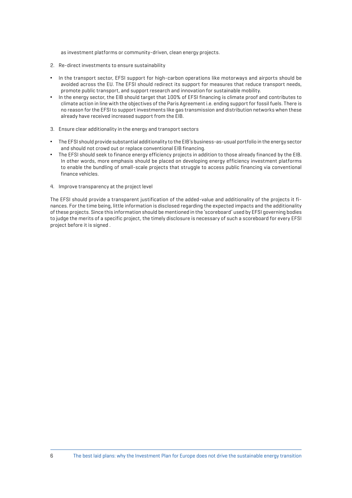as investment platforms or community-driven, clean energy projects.

- 2. Re-direct investments to ensure sustainability
- In the transport sector, EFSI support for high-carbon operations like motorways and airports should be avoided across the EU. The EFSI should redirect its support for measures that reduce transport needs, promote public transport, and support research and innovation for sustainable mobility.
- In the energy sector, the EIB should target that 100% of EFSI financing is climate proof and contributes to climate action in line with the objectives of the Paris Agreement i.e. ending support for fossil fuels. There is no reason for the EFSI to support investments like gas transmission and distribution networks when these already have received increased support from the EIB.
- 3. Ensure clear additionality in the energy and transport sectors
- The EFSI should provide substantial additionality to the EIB's business-as-usual portfolio in the energy sector and should not crowd out or replace conventional EIB financing.
- The EFSI should seek to finance energy efficiency projects in addition to those already financed by the EIB. In other words, more emphasis should be placed on developing energy efficiency investment platforms to enable the bundling of small-scale projects that struggle to access public financing via conventional finance vehicles.
- 4. Improve transparency at the project level

The EFSI should provide a transparent justification of the added-value and additionality of the projects it finances. For the time being, little information is disclosed regarding the expected impacts and the additionality of these projects. Since this information should be mentioned in the 'scoreboard' used by EFSI governing bodies to judge the merits of a specific project, the timely disclosure is necessary of such a scoreboard for every EFSI project before it is signed .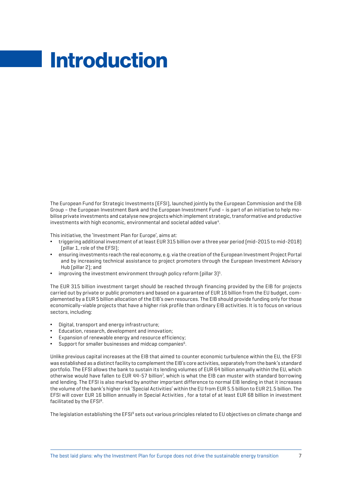## **Introduction**

The European Fund for Strategic Investments (EFSI), launched jointly by the European Commission and the EIB Group – the European Investment Bank and the European Investment Fund – is part of an initiative to help mobilise private investments and catalyse new projects which implement strategic, transformative and productive investments with high economic, environmental and societal added value<sup>4</sup>.

This initiative, the 'Investment Plan for Europe', aims at:

- triggering additional investment of at least EUR 315 billion over a three year period (mid-2015 to mid-2018) (pillar 1, role of the EFSI);
- ensuring investments reach the real economy, e.g. via the creation of the European Investment Project Portal and by increasing technical assistance to project promoters through the European Investment Advisory Hub (pillar 2); and
- improving the investment environment through policy reform (pillar  $3]^{5}$ .

The EUR 315 billion investment target should be reached through financing provided by the EIB for projects carried out by private or public promoters and based on a guarantee of EUR 16 billion from the EU budget, complemented by a EUR 5 billion allocation of the EIB's own resources. The EIB should provide funding only for those economically-viable projects that have a higher risk profile than ordinary EIB activities. It is to focus on various sectors, including:

- Digital, transport and energy infrastructure;
- Education, research, development and innovation;
- Expansion of renewable energy and resource efficiency;
- Support for smaller businesses and midcap companies<sup>6</sup>.

Unlike previous capital increases at the EIB that aimed to counter economic turbulence within the EU, the EFSI was established as a distinct facility to complement the EIB's core activities, separately from the bank's standard portfolio. The EFSI allows the bank to sustain its lending volumes of EUR 64 billion annually within the EU, which otherwise would have fallen to EUR 44-57 billion<sup>7</sup>, which is what the EIB can muster with standard borrowing and lending. The EFSI is also marked by another important difference to normal EIB lending in that it increases the volume of the bank's higher risk 'Special Activities' within the EU from EUR 5.5 billion to EUR 21.5 billion. The EFSI will cover EUR 16 billion annually in Special Activities , for a total of at least EUR 68 billion in investment facilitated by the EFSI<sup>8</sup>.

The legislation establishing the EFSI<sup>9</sup> sets out various principles related to EU objectives on climate change and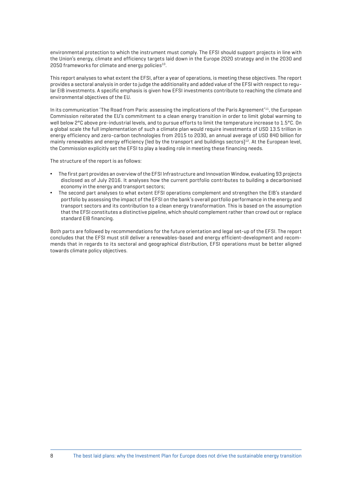environmental protection to which the instrument must comply. The EFSI should support projects in line with the Union's energy, climate and efficiency targets laid down in the Europe 2020 strategy and in the 2030 and 2050 frameworks for climate and energy policies<sup>10</sup>.

This report analyses to what extent the EFSI, after a year of operations, is meeting these objectives. The report provides a sectoral analysis in order to judge the additionality and added value of the EFSI with respect to regular EIB investments. A specific emphasis is given how EFSI investments contribute to reaching the climate and environmental objectives of the EU.

In its communication 'The Road from Paris: assessing the implications of the Paris Agreement'11, the European Commission reiterated the EU's commitment to a clean energy transition in order to limit global warming to well below 2°C above pre-industrial levels, and to pursue efforts to limit the temperature increase to 1.5°C. On a global scale the full implementation of such a climate plan would require investments of USD 13.5 trillion in energy efficiency and zero-carbon technologies from 2015 to 2030, an annual average of USD 840 billion for mainly renewables and energy efficiency (led by the transport and buildings sectors)<sup>12</sup>. At the European level, the Commission explicitly set the EFSI to play a leading role in meeting these financing needs.

The structure of the report is as follows:

- The first part provides an overview of the EFSI Infrastructure and Innovation Window, evaluating 93 projects disclosed as of July 2016. It analyses how the current portfolio contributes to building a decarbonised economy in the energy and transport sectors;
- The second part analyses to what extent EFSI operations complement and strengthen the EIB's standard portfolio by assessing the impact of the EFSI on the bank's overall portfolio performance in the energy and transport sectors and its contribution to a clean energy transformation. This is based on the assumption that the EFSI constitutes a distinctive pipeline, which should complement rather than crowd out or replace standard EIB financing.

Both parts are followed by recommendations for the future orientation and legal set-up of the EFSI. The report concludes that the EFSI must still deliver a renewables-based and energy efficient-development and recommends that in regards to its sectoral and geographical distribution, EFSI operations must be better aligned towards climate policy objectives.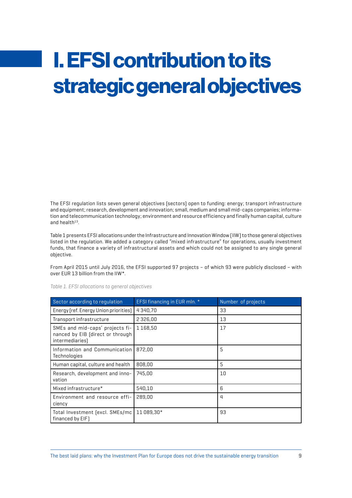## **I. EFSI contribution to its strategic general objectives**

The EFSI regulation lists seven general objectives (sectors) open to funding: energy; transport infrastructure and equipment; research, development and innovation; small, medium and small mid-caps companies; information and telecommunication technology; environment and resource efficiency and finally human capital, culture and health $13$ .

Table 1 presents EFSI allocations under the Infrastructure and Innovation Window (IIW) to those general objectives listed in the regulation. We added a category called "mixed infrastructure" for operations, usually investment funds, that finance a variety of infrastructural assets and which could not be assigned to any single general objective.

From April 2015 until July 2016, the EFSI supported 97 projects – of which 93 were publicly disclosed – with over EUR 13 billion from the IIW\*.

| Sector according to regulation                                                         | EFSI financing in EUR mln. * | Number of projects |  |  |
|----------------------------------------------------------------------------------------|------------------------------|--------------------|--|--|
| Energy (ref. Energy Union priorities)                                                  | 4340.70                      | 33                 |  |  |
| Transport infrastructure                                                               | 2 3 2 6 , 0 0                |                    |  |  |
| SMEs and mid-caps' projects fi-<br>nanced by EIB (direct or through<br>intermediaries) | 1168,50                      | 17                 |  |  |
| Information and Communication<br>Technologies                                          | 872.00                       | 5                  |  |  |
| Human capital, culture and health                                                      | 808,00                       | 5                  |  |  |
| Research, development and inno-<br>vation                                              | 745.00                       | 10                 |  |  |
| Mixed infrastructure*                                                                  | 540.10                       | ĥ                  |  |  |
| Environment and resource effi-<br>ciency                                               | 289.00                       | $\overline{4}$     |  |  |
| Total Investment (excl. SMEs/mc)<br>financed by EIF)                                   | 11089.30*                    | 93                 |  |  |

*Table 1. EFSI allocations to general objectives*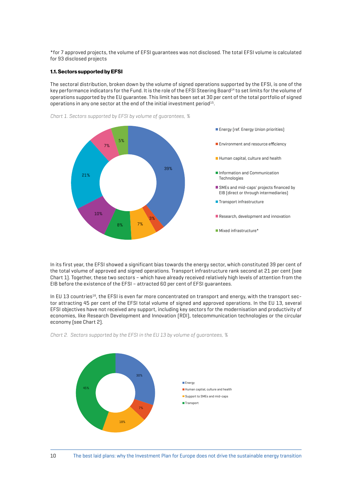\*for 7 approved projects, the volume of EFSI guarantees was not disclosed. The total EFSI volume is calculated for 93 disclosed projects

### **1.1. Sectors supported by EFSI**

The sectoral distribution, broken down by the volume of signed operations supported by the EFSI, is one of the key performance indicators for the Fund. It is the role of the EFSI Steering Board<sup>14</sup> to set limits for the volume of operations supported by the EU guarantee. This limit has been set at 30 per cent of the total portfolio of signed operations in any one sector at the end of the initial investment period<sup>15</sup>.



*Chart 1. Sectors supported by EFSI by volume of guarantees, %* 

In its first year, the EFSI showed a significant bias towards the energy sector, which constituted 39 per cent of the total volume of approved and signed operations. Transport infrastructure rank second at 21 per cent (see Chart 1). Together, these two sectors – which have already received relatively high levels of attention from the EIB before the existence of the EFSI – attracted 60 per cent of EFSI guarantees.

In EU 13 countries<sup>16</sup>, the EFSI is even far more concentrated on transport and energy, with the transport sector attracting 45 per cent of the EFSI total volume of signed and approved operations. In the EU 13, several EFSI objectives have not received any support, including key sectors for the modernisation and productivity of economies, like Research Development and Innovation (RDI), telecommunication technologies or the circular economy (see Chart 2).



*Chart 2. Sectors supported by the EFSI in the EU 13 by volume of guarantees, %*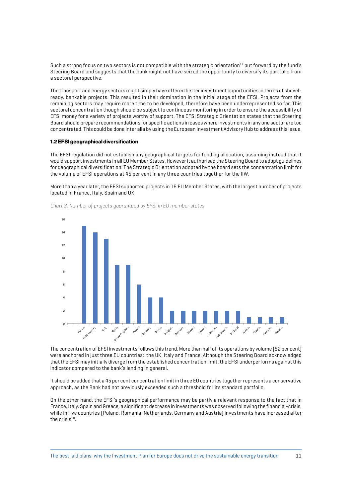Such a strong focus on two sectors is not compatible with the strategic orientation<sup>17</sup> put forward by the fund's Steering Board and suggests that the bank might not have seized the opportunity to diversify its portfolio from a sectoral perspective.

The transport and energy sectors might simply have offered better investment opportunities in terms of shovelready, bankable projects. This resulted in their domination in the initial stage of the EFSI. Projects from the remaining sectors may require more time to be developed, therefore have been underrepresented so far. This sectoral concentration though should be subject to continuous monitoring in order to ensure the accessibility of EFSI money for a variety of projects worthy of support. The EFSI Strategic Orientation states that the Steering Board should prepare recommendations for specific actions in cases where investments in any one sector are too concentrated. This could be done inter alia by using the European Investment Advisory Hub to address this issue.

### **1.2 EFSI geographical diversification**

The EFSI regulation did not establish any geographical targets for funding allocation, assuming instead that it would support investments in all EU Member States. However it authorised the Steering Board to adopt guidelines for geographical diversification. The Strategic Orientation adopted by the board sets the concentration limit for the volume of EFSI operations at 45 per cent in any three countries together for the IIW.

More than a year later, the EFSI supported projects in 19 EU Member States, with the largest number of projects located in France, Italy, Spain and UK.



*Chart 3. Number of projects guaranteed by EFSI in EU member states* 

The concentration of EFSI investments follows this trend. More than half of its operations by volume (52 per cent) were anchored in just three EU countries: the UK, Italy and France. Although the Steering Board acknowledged that the EFSI may initially diverge from the established concentration limit, the EFSI underperforms against this indicator compared to the bank's lending in general.

It should be added that a 45 per cent concentration limit in three EU countries together represents a conservative approach, as the Bank had not previously exceeded such a threshold for its standard portfolio.

On the other hand, the EFSI's geographical performance may be partly a relevant response to the fact that in France, Italy, Spain and Greece, a significant decrease in investments was observed following the financial-crisis, while in five countries (Poland, Romania, Netherlands, Germany and Austria) investments have increased after the crisis $18$ .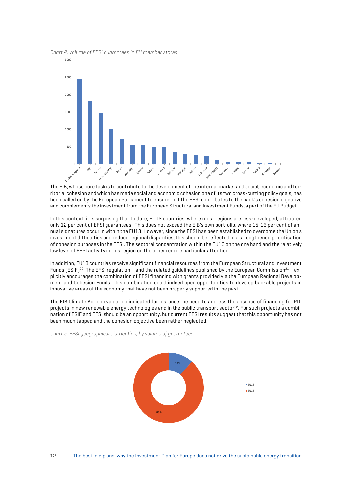

*Chart 4. Volume of EFSI guarantees in EU member states* 

The EIB, whose core task is to contribute to the development of the internal market and social, economic and territorial cohesion and which has made social and economic cohesion one of its two cross-cutting policy goals, has been called on by the European Parliament to ensure that the EFSI contributes to the bank's cohesion objective and complements the investment from the European Structural and Investment Funds, a part of the EU Budget<sup>19</sup>.

In this context, it is surprising that to date, EU13 countries, where most regions are less-developed, attracted only 12 per cent of EFSI guarantees . This does not exceed the EIB's own portfolio, where 15-16 per cent of annual signatures occur in within the EU13. However, since the EFSI has been established to overcome the Union's investment difficulties and reduce regional disparities, this should be reflected in a strengthened prioritisation of cohesion purposes in the EFSI. The sectoral concentration within the EU13 on the one hand and the relatively low level of EFSI activity in this region on the other require particular attention.

In addition, EU13 countries receive significant financial resources from the European Structural and Investment Funds (ESIF)<sup>20</sup>. The EFSI requlation – and the related quidelines published by the European Commission<sup>21</sup> – explicitly encourages the combination of EFSI financing with grants provided via the European Regional Development and Cohesion Funds. This combination could indeed open opportunities to develop bankable projects in innovative areas of the economy that have not been properly supported in the past.

The EIB Climate Action evaluation indicated for instance the need to address the absence of financing for RDI projects in new renewable energy technologies and in the public transport sector<sup>22</sup>. For such projects a combination of ESIF and EFSI should be an opportunity, but current EFSI results suggest that this opportunity has not been much tapped and the cohesion objective been rather neglected.

*Chart 5. EFSI geographical distribution, by volume of guarantees*

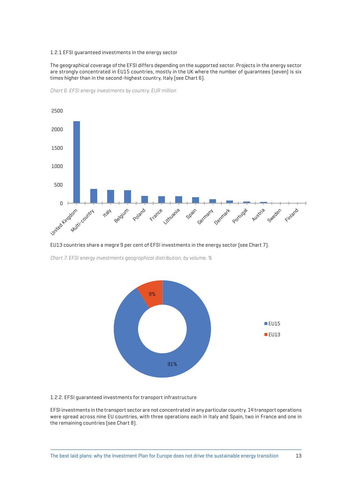### 1.2.1 EFSI guaranteed investments in the energy sector

The geographical coverage of the EFSI differs depending on the supported sector. Projects in the energy sector are strongly concentrated in EU15 countries, mostly in the UK where the number of guarantees (seven) is six times higher than in the second-highest country, Italy (see Chart 6).



*Chart 6. EFSI energy investments by country, EUR million*

EU13 countries share a megre 9 per cent of EFSI investments in the energy sector (see Chart 7).

*Chart 7. EFSI energy investments geographical distribution, by volume, %* 



### 1.2.2. EFSI guaranteed investments for transport infrastructure

EFSI investments in the transport sector are not concentrated in any particular country. 14 transport operations were spread across nine EU countries, with three operations each in Italy and Spain, two in France and one in the remaining countries (see Chart 8).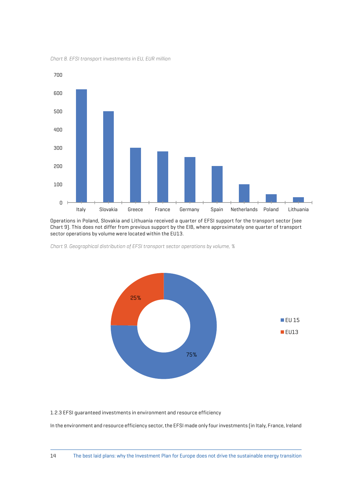

*Chart 8. EFSI transport investments in EU, EUR million*

Operations in Poland, Slovakia and Lithuania received a quarter of EFSI support for the transport sector (see Chart 9). This does not differ from previous support by the EIB, where approximately one quarter of transport sector operations by volume were located within the EU13.

*Chart 9. Geographical distribution of EFSI transport sector operations by volume, %* 



1.2.3 EFSI guaranteed investments in environment and resource efficiency

In the environment and resource efficiency sector, the EFSI made only four investments (in Italy, France, Ireland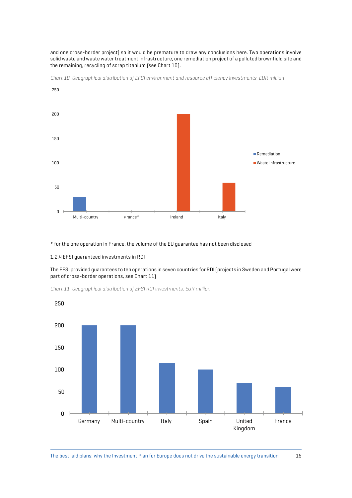and one cross-border project) so it would be premature to draw any conclusions here. Two operations involve solid waste and waste water treatment infrastructure, one remediation project of a polluted brownfield site and the remaining, recycling of scrap titanium (see Chart 10).



*Chart 10. Geographical distribution of EFSI environment and resource efficiency investments, EUR million* 

\* for the one operation in France, the volume of the EU guarantee has not been disclosed

1.2.4 EFSI guaranteed investments in RDI

The EFSI provided guarantees to ten operations in seven countries for RDI (projects in Sweden and Portugal were part of cross-border operations, see Chart 11)

*Chart 11. Geographical distribution of EFSI RDI investments, EUR million*

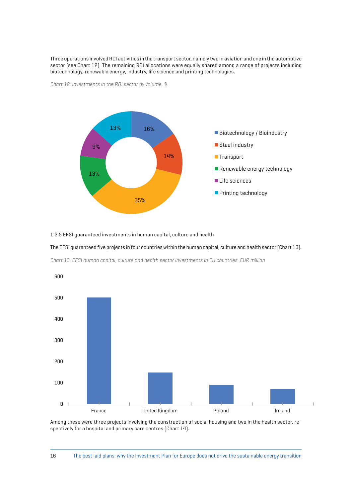Three operations involved RDI activities in the transport sector, namely two in aviation and one in the automotive sector (see Chart 12). The remaining RDI allocations were equally shared among a range of projects including biotechnology, renewable energy, industry, life science and printing technologies.





### 1.2.5 EFSI guaranteed investments in human capital, culture and health

The EFSI guaranteed five projects in four countries within the human capital, culture and health sector (Chart 13).

*Chart 13. EFSI human capital, culture and health sector investments in EU countries, EUR million*



Among these were three projects involving the construction of social housing and two in the health sector, respectively for a hospital and primary care centres (Chart 14).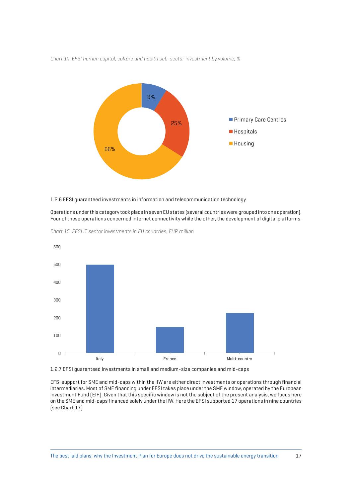*Chart 14. EFSI human capital, culture and health sub-sector investment by volume, %*



1.2.6 EFSI guaranteed investments in information and telecommunication technology

Operations under this category took place in seven EU states (several countries were grouped into one operation). Four of these operations concerned internet connectivity while the other, the development of digital platforms.



*Chart 15. EFSI IT sector investments in EU countries, EUR million*

1.2.7 EFSI guaranteed investments in small and medium-size companies and mid-caps

EFSI support for SME and mid-caps within the IIW are either direct investments or operations through financial intermediaries. Most of SME financing under EFSI takes place under the SME window, operated by the European Investment Fund (EIF). Given that this specific window is not the subject of the present analysis, we focus here on the SME and mid-caps financed solely under the IIW. Here the EFSI supported 17 operations in nine countries (see Chart 17)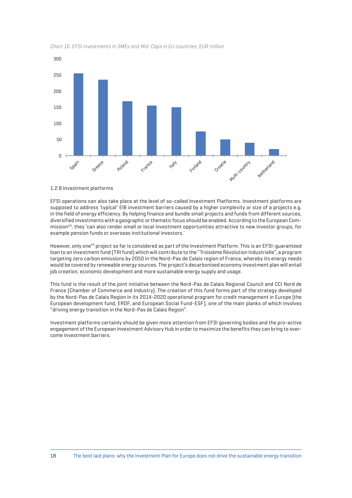

*Chart 16. EFSI investments in SMEs and Mid-Caps in EU countries, EUR million*

1.2.8 Investment platforms

EFSI operations can also take place at the level of so-called Investment Platforms. Investment platforms are supposed to address 'typical' EIB investment barriers caused by a higher complexity or size of a projects e.g. in the field of energy efficiency. By helping finance and bundle small projects and funds from different sources, diversified investments with a geographic or thematic focus should be enabled. According to the European Commission<sup>23</sup>, they 'can also render small or local investment opportunities attractive to new investor groups, for example pension funds or overseas institutional investors.'

However, only one<sup>24</sup> project so far is considered as part of the Investment Platform. This is an EFSI-quaranteed loan to an investment fund (TRI fund) which will contribute to the "Troisième Révolution Industrielle", a program targeting zero carbon emissions by 2050 in the Nord-Pas de Calais region of France, whereby its energy needs would be covered by renewable energy sources. The project's decarbonised economy investment plan will entail job creation, economic development and more sustainable energy supply and usage.

This fund is the result of the joint initiative between the Nord-Pas de Calais Regional Council and CCI Nord de France (Chamber of Commerce and Industry). The creation of this fund forms part of the strategy developed by the Nord-Pas de Calais Region in its 2014-2020 operational program for credit management in Europe (the European development fund, ERDF, and European Social Fund-ESF), one of the main planks of which involves "driving energy transition in the Nord-Pas de Calais Region".

Investment platforms certainly should be given more attention from EFSI governing bodies and the pro-active engagement of the European Investment Advisory Hub in order to maximize the benefits they can bring to overcome investment barriers.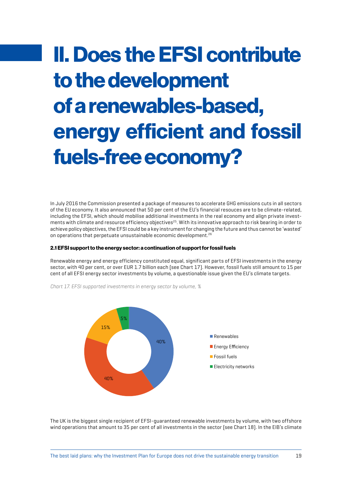## **II. Does the EFSI contribute to the development of a renewables-based, energy efficient and fossil fuels-free economy?**

In July 2016 the Commission presented a package of measures to accelerate GHG emissions cuts in all sectors of the EU economy. It also announced that 50 per cent of the EU's financial resouces are to be climate-related, including the EFSI, which should mobilise additional investments in the real economy and align private investments with climate and resource efficiency objectives<sup>25</sup>. With its innovative approach to risk bearing in order to achieve policy objectives, the EFSI could be a key instrument for changing the future and thus cannot be 'wasted' on operations that perpetuate unsustainable economic development.<sup>26</sup>

### **2.1 EFSI support to the energy sector: a continuation of support for fossil fuels**

Renewable energy and energy efficiency constituted equal, significant parts of EFSI investments in the energy sector, with 40 per cent, or over EUR 1.7 billion each (see Chart 17). However, fossil fuels still amount to 15 per cent of all EFSI energy sector investments by volume, a questionable issue given the EU's climate targets.



*Chart 17. EFSI supported investments in energy sector by volume, %*

The UK is the biggest single recipient of EFSI-guaranteed renewable investments by volume, with two offshore wind operations that amount to 35 per cent of all investments in the sector (see Chart 18). In the EIB's climate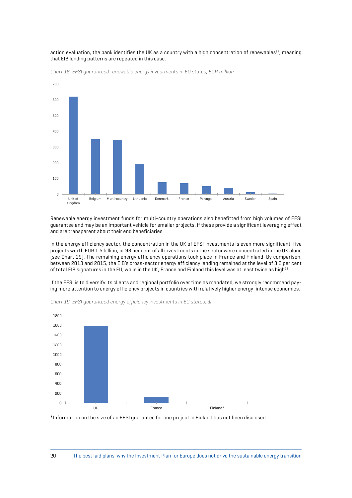### action evaluation, the bank identifies the UK as a country with a high concentration of renewables $^{27}$ , meaning that EIB lending patterns are repeated in this case.



*Chart 18. EFSI guaranteed renewable energy investments in EU states, EUR million*

Renewable energy investment funds for multi-country operations also benefitted from high volumes of EFSI guarantee and may be an important vehicle for smaller projects, if these provide a significant leveraging effect and are transparent about their end beneficiaries.

In the energy efficiency sector, the concentration in the UK of EFSI investments is even more significant: five projects worth EUR 1.5 billion, or 93 per cent of all investments in the sector were concentrated in the UK alone (see Chart 19). The remaining energy efficiency operations took place in France and Finland. By comparison, between 2013 and 2015, the EIB's cross-sector energy efficiency lending remained at the level of 3.6 per cent of total EIB signatures in the EU, while in the UK, France and Finland this level was at least twice as high<sup>28</sup>.

If the EFSI is to diversify its clients and regional portfolio over time as mandated, we strongly recommend paying more attention to energy efficiency projects in countries with relatively higher energy-intense economies.



*Chart 19. EFSI guaranteed energy efficiency investments in EU states, %*

\*Information on the size of an EFSI guarantee for one project in Finland has not been disclosed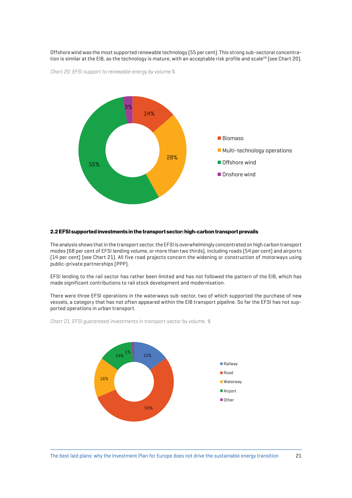Offshore wind was the most supported renewable technology (55 per cent). This strong sub-sectoral concentration is similar at the EIB, as the technology is mature, with an acceptable risk profile and scale<sup>29</sup> (see Chart 20).

*Chart 20. EFSI support to renewable energy by volume,%*



### **2.2 EFSI supported investments in the transport sector: high-carbon transport prevails**

The analysis shows that in the transport sector, the EFSI is overwhelmingly concentrated on high carbon transport modes (68 per cent of EFSI lending volume, or more than two thirds), including roads (54 per cent) and airports (14 per cent) (see Chart 21). All five road projects concern the widening or construction of motorways using public-private partnerships (PPP).

EFSI lending to the rail sector has rather been limited and has not followed the pattern of the EIB, which has made significant contributions to rail stock development and modernisation.

There were three EFSI operations in the waterways sub-sector, two of which supported the purchase of new vessels, a category that has not often appeared within the EIB transport pipeline. So far the EFSI has not supported operations in urban transport.



*Chart 21. EFSI guaranteed investments in transport sector by volume, %*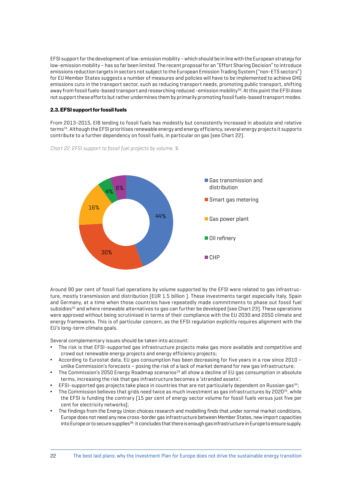EFSI support for the development of low-emission mobility – which should be in line with the European strategy for low-emission mobility – has so far been limited. The recent proposal for an "Effort Sharing Decision" to introduce emissions reduction targets in sectors not subject to the European Emission Trading System ("non-ETS sectors") for EU Member States suggests a number of measures and policies will have to be implemented to achieve GHG emissions cuts in the transport sector, such as reducing transport needs, promoting public transport, shifting away from fossil fuels-based transport and researching reduced -emission mobility<sup>30</sup>. At this point the EFSI does not support these efforts but rather undermines them by primarily promoting fossil fuels-based transport modes.

### **2.3. EFSI support for fossil fuels**

From 2013-2015, EIB lending to fossil fuels has modestly but consistently increased in absolute and relative terms<sup>31</sup>. Although the EFSI prioritises renewable energy and energy efficiency, several energy projects it supports contribute to a further dependency on fossil fuels, in particular on gas (see Chart 22).

*Chart 22. EFSI support to fossil fuel projects by volume, %*



Around 90 per cent of fossil fuel operations by volume supported by the EFSI were related to gas infrastructure, mostly transmission and distribution (EUR 1.5 billion ). These investments target especially Italy, Spain and Germany, at a time when those countries have repeatedly made commitments to phase out fossil fuel subsidies<sup>32</sup> and where renewable alternatives to gas can further be developed (see Chart 23). These operations were approved without being scrutinised in terms of their compliance with the EU 2030 and 2050 climate and energy frameworks. This is of particular concern, as the EFSI regulation explicitly requires alignment with the EU's long-term climate goals.

Several complementary issues should be taken into account:

- The risk is that EFSI-supported gas infrastructure projects make gas more available and competitive and crowd out renewable energy projects and energy efficiency projects;
- According to Eurostat data, EU gas consumption has been decreasing for five years in a row since 2010 unlike Commission's forecasts – posing the risk of a lack of market demand for new gas infrastructure;
- The Commission's 2050 Energy Roadmap scenarios<sup>33</sup> all show a decline of EU gas consumption in absolute terms, increasing the risk that gas infrastructure becomes a 'stranded assets';
- $EFS1$ -supported gas projects take place in countries that are not particularly dependent on Russian gas<sup>34</sup>;
- The Commission believes that grids need twice as much investment as gas infrastructures by 2020<sup>35</sup>, while the EFSI is funding the contrary (15 per cent of energy sector volume for fossil fuels versus just five per cent for electricity networks);
- The findings from the Energy Union choices research and modelling finds that under normal market conditions, Europe does not need any new cross-border gas infrastructure between Member States, new import capacities into Europe or to secure supplies<sup>36</sup>: it concludes that there is enough gas infrastructure in Europe to ensure supply.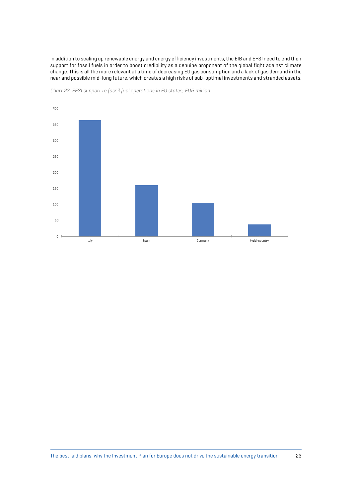In addition to scaling up renewable energy and energy efficiency investments, the EIB and EFSI need to end their support for fossil fuels in order to boost credibility as a genuine proponent of the global fight against climate change. This is all the more relevant at a time of decreasing EU gas consumption and a lack of gas demand in the near and possible mid-long future, which creates a high risks of sub-optimal investments and stranded assets.



*Chart 23. EFSI support to fossil fuel operations in EU states, EUR million*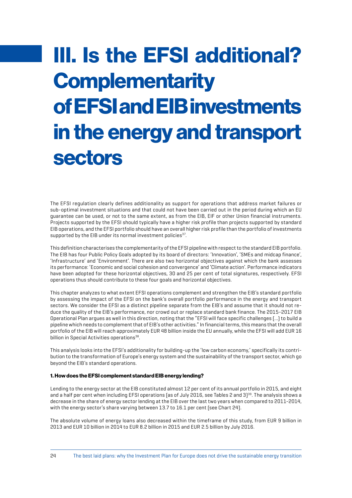## **III. Is the EFSI additional? Complementarity of EFSI and EIB investments in the energy and transport sectors**

The EFSI regulation clearly defines additionality as support for operations that address market failures or sub-optimal investment situations and that could not have been carried out in the period during which an EU guarantee can be used, or not to the same extent, as from the EIB, EIF or other Union financial instruments. Projects supported by the EFSI should typically have a higher risk profile than projects supported by standard EIB operations, and the EFSI portfolio should have an overall higher risk profile than the portfolio of investments supported by the EIB under its normal investment policies<sup>37</sup>.

This definition characterises the complementarity of the EFSI pipeline with respect to the standard EIB portfolio. The EIB has four Public Policy Goals adopted by its board of directors: 'Innovation', 'SMEs and midcap finance', 'Infrastructure' and 'Environment'. There are also two horizontal objectives against which the bank assesses its performance: 'Economic and social cohesion and convergence' and 'Climate action'. Performance indicators have been adopted for these horizontal objectives, 30 and 25 per cent of total signatures, respectively. EFSI operations thus should contribute to these four goals and horizontal objectives.

This chapter analyzes to what extent EFSI operations complement and strengthen the EIB's standard portfolio by assessing the impact of the EFSI on the bank's overall portfolio performance in the energy and transport sectors. We consider the EFSI as a distinct pipeline separate from the EIB's and assume that it should not reduce the quality of the EIB's performance, nor crowd out or replace standard bank finance. The 2015-2017 EIB Operational Plan argues as well in this direction, noting that the "EFSI will face specific challenges (…) to build a pipeline which needs to complement that of EIB's other activities." In financial terms, this means that the overall portfolio of the EIB will reach approximately EUR 48 billion inside the EU annually, while the EFSI will add EUR 16 billion in Special Activities operations<sup>38</sup>.

This analysis looks into the EFSI's additionality for building-up the 'low carbon economy,' specifically its contribution to the transformation of Europe's energy system and the sustainability of the transport sector, which go beyond the EIB's standard operations.

### **1. How does the EFSI complement standard EIB energy lending?**

Lending to the energy sector at the EIB constituted almost 12 per cent of its annual portfolio in 2015, and eight and a half per cent when including EFSI operations (as of July 2016, see Tables 2 and 3)<sup>39</sup>. The analysis shows a decrease in the share of energy sector lending at the EIB over the last two years when compared to 2011-2014, with the energy sector's share varying between 13.7 to 16.1 per cent (see Chart 24).

The absolute volume of energy loans also decreased within the timeframe of this study, from EUR 9 billion in 2013 and EUR 10 billion in 2014 to EUR 8.2 billion in 2015 and EUR 2.5 billion by July 2016.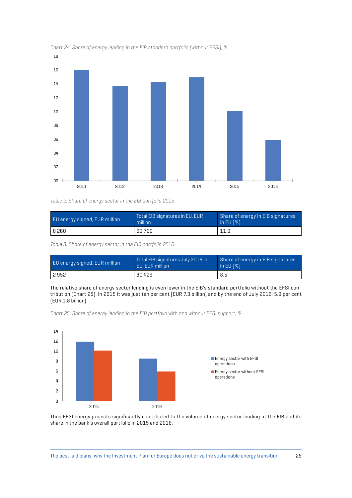



*Table 2. Share of energy sector in the EIB portfolio 2015*

| <b>EU</b> energy signed, EUR million | Total EIB signatures in EU, EUR<br>million | Share of energy in EIB signatures<br>$\ln$ EU $\lceil$ %1 |  |  |
|--------------------------------------|--------------------------------------------|-----------------------------------------------------------|--|--|
| 8 2 6 0                              | 69 700                                     | 11.9                                                      |  |  |

*Table 3. Share of energy sector in the EIB portfolio 2016*

| EU energy signed, EUR million | Total EIB signatures July 2016 in<br>EU. EUR million <sup>1</sup> | Share of energy in EIB signatures<br>$\ln$ EU $\lceil$ %1 |  |  |
|-------------------------------|-------------------------------------------------------------------|-----------------------------------------------------------|--|--|
| l 2 952                       | 30 426                                                            | 8.5                                                       |  |  |

The relative share of energy sector lending is even lower in the EIB's standard portfolio without the EFSI contribution (Chart 25). In 2015 it was just ten per cent (EUR 7.3 billion) and by the end of July 2016, 5.9 per cent (EUR 1.8 billion).

*Chart 25. Share of energy lending in the EIB portfolio with and without EFSI support, %*



Thus EFSI energy projects significantly contributed to the volume of energy sector lending at the EIB and its share in the bank's overall portfolio in 2015 and 2016.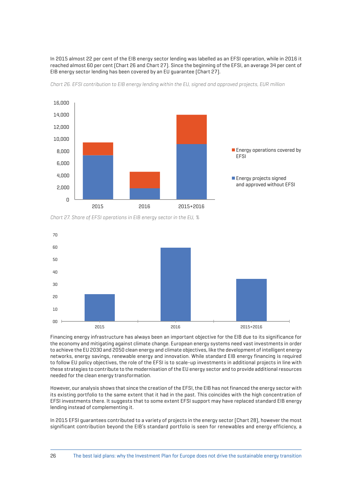In 2015 almost 22 per cent of the EIB energy sector lending was labelled as an EFSI operation, while in 2016 it reached almost 60 per cent (Chart 26 and Chart 27). Since the beginning of the EFSI, an average 34 per cent of EIB energy sector lending has been covered by an EU guarantee (Chart 27).



*Chart 26. EFSI contribution to EIB energy lending within the EU, signed and approved projects, EUR million*

*Chart 27. Share of EFSI operations in EIB energy sector in the EU, %*



Financing energy infrastructure has always been an important objective for the EIB due to its significance for the economy and mitigating against climate change. European energy systems need vast investments in order to achieve the EU 2030 and 2050 clean energy and climate objectives, like the development of intelligent energy networks, energy savings, renewable energy and innovation. While standard EIB energy financing is required to follow EU policy objectives, the role of the EFSI is to scale-up investments in additional projects in line with these strategies to contribute to the modernisation of the EU energy sector and to provide additional resources needed for the clean energy transformation.

However, our analysis shows that since the creation of the EFSI, the EIB has not financed the energy sector with its existing portfolio to the same extent that it had in the past. This coincides with the high concentration of EFSI investments there. It suggests that to some extent EFSI support may have replaced standard EIB energy lending instead of complementing it.

In 2015 EFSI guarantees contributed to a variety of projects in the energy sector (Chart 28), however the most significant contribution beyond the EIB's standard portfolio is seen for renewables and energy efficiency, a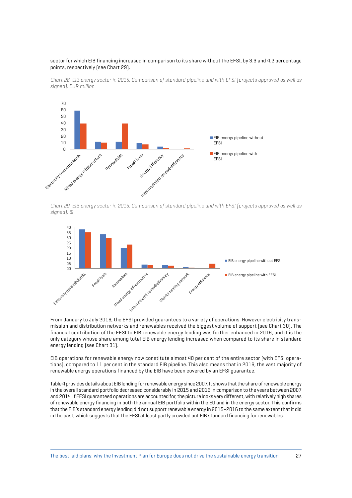### sector for which EIB financing increased in comparison to its share without the EFSI, by 3.3 and 4.2 percentage points, respectively (see Chart 29).

*Chart 28. EIB energy sector in 2015. Comparison of standard pipeline and with EFSI (projects approved as well as signed), EUR million* 



*Chart 29. EIB energy sector in 2015. Comparison of standard pipeline and with EFSI (projects approved as well as signed), %* 



From January to July 2016, the EFSI provided guarantees to a variety of operations. However electricity transmission and distribution networks and renewables received the biggest volume of support (see Chart 30). The financial contribution of the EFSI to EIB renewable energy lending was further enhanced in 2016, and it is the only category whose share among total EIB energy lending increased when compared to its share in standard energy lending (see Chart 31).

EIB operations for renewable energy now constitute almost 40 per cent of the entire sector (with EFSI operations), compared to 11 per cent in the standard EIB pipeline. This also means that in 2016, the vast majority of renewable energy operations financed by the EIB have been covered by an EFSI guarantee.

Table 4 provides details about EIB lending for renewable energy since 2007. It shows that the share of renewable energy in the overall standard portfolio decreased considerably in 2015 and 2016 in comparison to the years between 2007 and 2014. If EFSI guaranteed operations are accounted for, the picture looks very different, with relatively high shares of renewable energy financing in both the annual EIB portfolio within the EU and in the energy sector. This confirms that the EIB's standard energy lending did not support renewable energy in 2015–2016 to the same extent that it did in the past, which suggests that the EFSI at least partly crowded out EIB standard financing for renewables.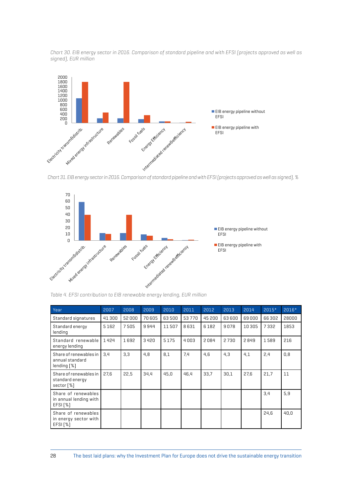



*Chart 31. EIB energy sector in 2016. Comparison of standard pipeline and with EFSI (projects approved as well as signed), %*



*Table 4. EFSI contribution to EIB renewable energy lending, EUR million*

| Year                                                                  | 2007   | 2008   | 2009   | 2010   | 2011  | 2012   | 2013   | 2014   | 2015* | 2016* |
|-----------------------------------------------------------------------|--------|--------|--------|--------|-------|--------|--------|--------|-------|-------|
| Standard signatures                                                   | 41 300 | 52 000 | 70 605 | 63 500 | 53770 | 45 200 | 63 600 | 69 000 | 66302 | 28000 |
| Standard energy<br>lending                                            | 5162   | 7505   | 9944   | 11507  | 8631  | 6182   | 9078   | 10305  | 7332  | 1853  |
| Standard renewable<br>energy lending                                  | 1424   | 1692   | 3420   | 5175   | 4003  | 2084   | 2730   | 2849   | 1589  | 216   |
| Share of renewables in<br>annual standard<br>lending $[%]$            | 3.4    | 3.3    | 4.8    | 8.1    | 7,4   | 4.6    | 4.3    | 4.1    | 2,4   | 0,8   |
| Share of renewables in<br>standard energy<br>sector $\lceil % \rceil$ | 27.6   | 22.5   | 34.4   | 45.0   | 46.4  | 33.7   | 30.1   | 27.6   | 21.7  | 11    |
| Share of renewables<br>in annual lending with<br>EFSI[%]              |        |        |        |        |       |        |        |        | 3,4   | 5,9   |
| Share of renewables<br>in energy sector with<br>EFSI[%]               |        |        |        |        |       |        |        |        | 24.6  | 40.0  |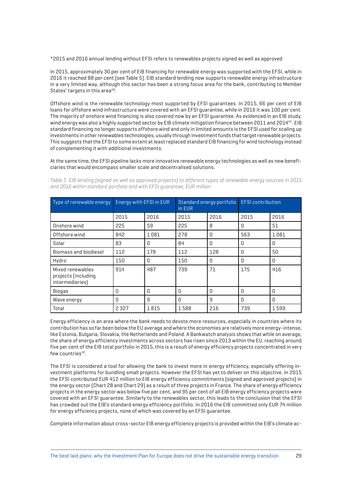\*2015 and 2016 annual lending without EFSI refers to renewables projects signed as well as approved

In 2015, approximately 30 per cent of EIB financing for renewable energy was supported with the EFSI, while in 2016 it reached 88 per cent (see Table 5). EIB standard lending now supports renewable energy infrastructure in a very limited way, although this sector has been a strong focus area for the bank, contributing to Member States' targets in this area<sup>40</sup>.

Offshore wind is the renewable technology most supported by EFSI guarantees. In 2015, 66 per cent of EIB loans for offshore wind infrastructure were covered with an EFSI guarantee, while in 2016 it was 100 per cent. The majority of onshore wind financing is also covered now by an EFSI guarantee. As evidenced in an EIB study, wind energy was also a highly supported sector by EIB climate mitigation finance between 2011 and 2014<sup>41</sup>. EIB standard financing no longer supports offshore wind and only in limited amounts is the EFSI used for scaling up investments in other renewables technologies, usually through investment funds that target renewable projects. This suggests that the EFSI to some extent at least replaced standard EIB financing for wind technology instead of complementing it with additional investments.

At the same time, the EFSI pipeline lacks more innovative renewable energy technologies as well as new beneficiaries that would encompass smaller scale and decentralised solutions.

| Type of renewable energy                                   | Energy with EFSI in EUR |      | Standard energy portfolio<br>in EUR |              | <b>EFSI contribution</b> |          |
|------------------------------------------------------------|-------------------------|------|-------------------------------------|--------------|--------------------------|----------|
|                                                            | 2015                    | 2016 | 2015                                | 2016         | 2015                     | 2016     |
| Onshore wind                                               | 225                     | 59   | 225                                 | 8            | ۵                        | 51       |
| Offshore wind                                              | 842                     | 1081 | 278                                 | $\Omega$     | 563                      | 1081     |
| Solar                                                      | 83                      | 0    | 84                                  | $\Omega$     | 0                        | 0        |
| <b>Biomass and biodiesel</b>                               | 112                     | 178  | 112                                 | 128          | ۵                        | 50       |
| Hydro                                                      | 150                     | 0    | 150                                 | <sup>n</sup> | N                        | $\Omega$ |
| Mixed renewables<br>projects (including<br>intermediaries) | 914                     | 487  | 739                                 | 71           | 175                      | 416      |
| Biogas                                                     | U                       | U    | $\Omega$                            | $\Omega$     | Ŋ                        | $\Omega$ |
| Wave energy                                                | U                       | 9    | U                                   | 9            | U                        | $\Omega$ |
| Total                                                      | 2327                    | 1815 | 1588                                | 216          | 739                      | 1599     |

*Table 5. EIB lending (signed as well as approved projects) to different types of renewable energy sources in 2015 and 2016 within standard portfolio and with EFSI guarantee, EUR million*

Energy efficiency is an area where the bank needs to devote more resources, especially in countries where its contribution has so far been below the EU average and where the economies are relatively more energy-intense, like Estonia, Bulgaria, Slovakia, the Netherlands and Poland. A Bankwatch analysis shows that while on average, the share of energy efficiency investments across sectors has risen since 2013 within the EU, reaching around five per cent of the EIB total portfolio in 2015, this is a result of energy efficiency projects concentrated in very  $few$  countries $42$ .

The EFSI is considered a tool for allowing the bank to invest more in energy efficiency, especially offering investment platforms for bundling small projects. However the EFSI has yet to deliver on this objective. In 2015 the EFSI contributed EUR 412 million to EIB energy efficiency commitments (signed and approved projects) in the energy sector (Chart 28 and Chart 29) as a result of three projects in France. The share of energy efficiency projects in the energy sector was below five per cent, and 95 per cent of all EIB energy efficiency projects were covered with an EFSI guarantee. Similarly to the renewables sector, this leads to the conclusion that the EFSI has crowded out the EIB's standard energy efficiency portfolio. In 2016 the EIB committed only EUR 74 million for energy efficiency projects, none of which was covered by an EFSI guarantee.

Complete information about cross-sector EIB energy efficiency projects is provided within the EIB's climate ac-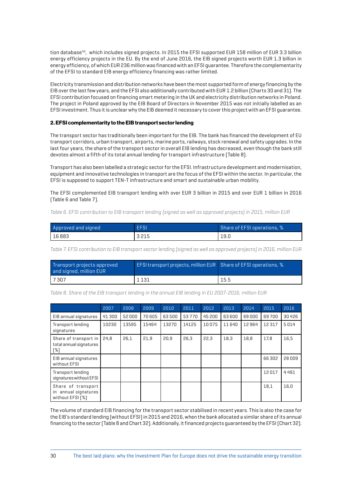tion database<sup>43</sup>, which includes signed projects. In 2015 the EFSI supported EUR 158 million of EUR 3.3 billion energy efficiency projects in the EU. By the end of June 2016, the EIB signed projects worth EUR 1.3 billion in energy efficiency, of which EUR 236 million was financed with an EFSI guarantee. Therefore the complementarity of the EFSI to standard EIB energy efficiency financing was rather limited.

Electricity transmission and distribution networks have been the most supported form of energy financing by the EIB over the last few years, and the EFSI also additionally contributed with EUR 1.2 billion (Charts 30 and 31). The EFSI contribution focused on financing smart metering in the UK and electricity distribution networks in Poland. The project in Poland approved by the EIB Board of Directors in November 2015 was not initially labelled as an EFSI investment. Thus it is unclear why the EIB deemed it necessary to cover this project with an EFSI guarantee.

### **2. EFSI complementarity to the EIB transport sector lending**

The transport sector has traditionally been important for the EIB. The bank has financed the development of EU transport corridors, urban transport, airports, marine ports, railways, stock renewal and safety upgrades. In the last four years, the share of the transport sector in overall EIB lending has decreased, even though the bank still devotes almost a fifth of its total annual lending for transport infrastructure (Table 8).

Transport has also been labelled a strategic sector for the EFSI. Infrastructure development and modernisation, equipment and innovative technologies in transport are the focus of the EFSI within the sector. In particular, the EFSI is supposed to support TEN-T infrastructure and smart and sustainable urban mobility.

The EFSI complemented EIB transport lending with over EUR 3 billion in 2015 and over EUR 1 billion in 2016 (Table 6 and Table 7).

*Table 6. EFSI contribution to EIB transport lending (signed as well as approved projects) in 2015, million EUR*

| Approved and signed | <b>EFSI</b> | Share of EFSI operations, % |  |  |  |
|---------------------|-------------|-----------------------------|--|--|--|
| 16 883              | 3 2 1 5     | 19.0                        |  |  |  |

*Table 7. EFSI contribution to EIB transport sector lending (signed as well as approved projects) in 2016, million EUR*

| Transport projects approved<br>and signed, million EUR | EFSI transport projects, million EUR Share of EFSI operations, % |      |
|--------------------------------------------------------|------------------------------------------------------------------|------|
| l 7 307                                                | 1 1 3 1                                                          | 15.5 |

*Table 8. Share of the EIB transport lending in the annual EIB lending in EU 2007-2016, million EUR*

|                                                                        | 2007  | 2008   | 2009   | 2010  | 2011  | 2012   | 2013   | 2014   | 2015    | 2016   |
|------------------------------------------------------------------------|-------|--------|--------|-------|-------|--------|--------|--------|---------|--------|
| EIB annual signatures                                                  | 41300 | 52 000 | 70 605 | 63500 | 53770 | 45 200 | 63 600 | 69 000 | 69700   | 30426  |
| Transport lending<br>signatures                                        | 10230 | 13595  | 15464  | 13270 | 14125 | 10075  | 11640  | 12964  | 12317   | 5014   |
| Share of transport in<br>total annual signatures<br>$\lceil \% \rceil$ | 24.8  | 26,1   | 21,9   | 20.9  | 26.3  | 22.3   | 18.3   | 18.8   | 17,8    | 16.5   |
| EIB annual signatures<br>without EFSI                                  |       |        |        |       |       |        |        |        | 66 30 2 | 28 009 |
| Transport lending<br>signatures without EFSI                           |       |        |        |       |       |        |        |        | 12017   | 4491   |
| Share of transport<br>annual signatures<br>in.<br>without EFSI[%]      |       |        |        |       |       |        |        |        | 18.1    | 16.0   |

The volume of standard EIB financing for the transport sector stabilised in recent years. This is also the case for the EIB's standard lending (without EFSI) in 2015 and 2016, when the bank allocated a similar share of its annual financing to the sector (Table 8 and Chart 32). Additionally, it financed projects guaranteed by the EFSI (Chart 32).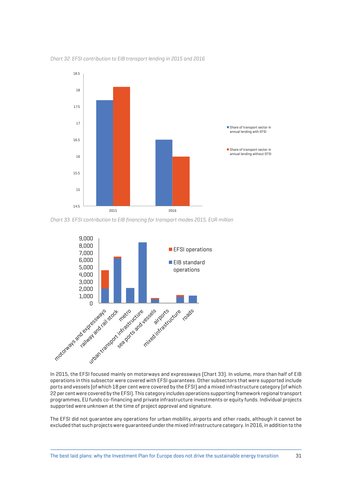

#### *Chart 32. EFSI contribution to EIB transport lending in 2015 and 2016*

*Chart 33. EFSI contribution to EIB financing for transport modes 2015, EUR million*



In 2015, the EFSI focused mainly on motorways and expressways (Chart 33). In volume, more than half of EIB operations in this subsector were covered with EFSI guarantees. Other subsectors that were supported include ports and vessels (of which 18 per cent were covered by the EFSI) and a mixed infrastructure category (of which 22 per cent were covered by the EFSI). This category includes operations supporting framework regional transport programmes, EU funds co-financing and private infrastructure investments or equity funds. Individual projects supported were unknown at the time of project approval and signature.

The EFSI did not guarantee any operations for urban mobility, airports and other roads, although it cannot be excluded that such projects were guaranteed under the mixed infrastructure category. In 2016, in addition to the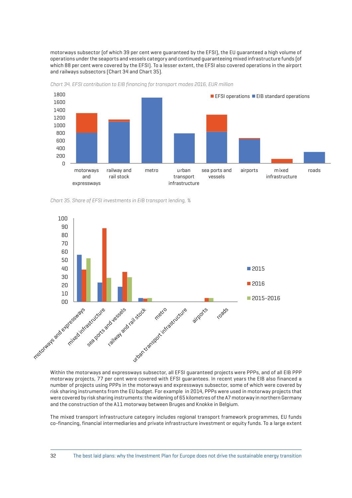motorways subsector (of which 39 per cent were guaranteed by the EFSI), the EU guaranteed a high volume of operations under the seaports and vessels category and continued guaranteeing mixed infrastructure funds (of which 88 per cent were covered by the EFSI). To a lesser extent, the EFSI also covered operations in the airport and railways subsectors (Chart 34 and Chart 35).



*Chart 34. EFSI contribution to EIB financing for transport modes 2016, EUR million*

*Chart 35. Share of EFSI investments in EIB transport lending, %*



Within the motorways and expressways subsector, all EFSI guaranteed projects were PPPs, and of all EIB PPP motorway projects, 77 per cent were covered with EFSI guarantees. In recent years the EIB also financed a number of projects using PPPs in the motorways and expressways subsector, some of which were covered by risk sharing instruments from the EU budget. For example in 2014, PPPs were used in motorway projects that were covered by risk sharing instruments: the widening of 65 kilometres of the A7 motorway in northern Germany and the construction of the A11 motorway between Bruges and Knokke in Belgium.

The mixed transport infrastructure category includes regional transport framework programmes, EU funds co-financing, financial intermediaries and private infrastructure investment or equity funds. To a large extent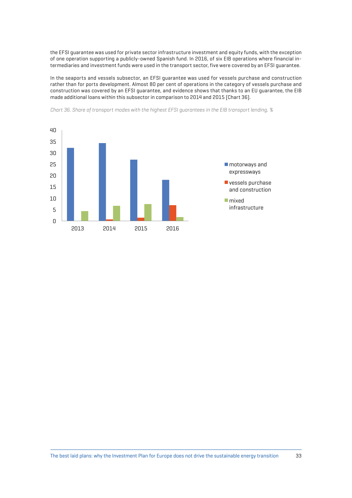the EFSI guarantee was used for private sector infrastructure investment and equity funds, with the exception of one operation supporting a publicly-owned Spanish fund. In 2016, of six EIB operations where financial intermediaries and investment funds were used in the transport sector, five were covered by an EFSI guarantee.

In the seaports and vessels subsector, an EFSI guarantee was used for vessels purchase and construction rather than for ports development. Almost 80 per cent of operations in the category of vessels purchase and construction was covered by an EFSI guarantee, and evidence shows that thanks to an EU guarantee, the EIB made additional loans within this subsector in comparison to 2014 and 2015 (Chart 36).



*Chart 36. Share of transport modes with the highest EFSI guarantees in the EIB transport lending, %*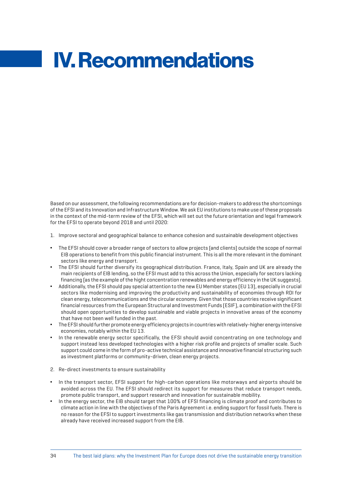## **IV. Recommendations**

Based on our assessment, the following recommendations are for decision-makers to address the shortcomings of the EFSI and its Innovation and Infrastructure Window. We ask EU institutions to make use of these proposals in the context of the mid-term review of the EFSI, which will set out the future orientation and legal framework for the EFSI to operate beyond 2018 and until 2020:

- 1. Improve sectoral and geographical balance to enhance cohesion and sustainable development objectives
- The EFSI should cover a broader range of sectors to allow projects (and clients) outside the scope of normal EIB operations to benefit from this public financial instrument. This is all the more relevant in the dominant sectors like energy and transport.
- The EFSI should further diversify its geographical distribution. France, Italy, Spain and UK are already the main recipients of EIB lending, so the EFSI must add to this across the Union, especially for sectors lacking financing (as the example of the hight concentration renewables and energy efficiency in the UK suggests).
- Additionally, the EFSI should pay special attention to the new EU Member states (EU 13), especially in crucial sectors like modernising and improving the productivity and sustainability of economies through RDI for clean energy, telecommunications and the circular economy. Given that those countries receive significant financial resources from the European Structural and Investment Funds (ESIF), a combination with the EFSI should open opportunities to develop sustainable and viable projects in innovative areas of the economy that have not been well funded in the past.
- The EFSI should further promote energy efficiency projects in countries with relatively-higher energy intensive economies, notably within the EU 13.
- In the renewable energy sector specifically, the EFSI should avoid concentrating on one technology and support instead less developed technologies with a higher risk profile and projects of smaller scale. Such support could come in the form of pro-active technical assistance and innovative financial structuring such as investment platforms or community-driven, clean energy projects.
- 2. Re-direct investments to ensure sustainability
- In the transport sector, EFSI support for high-carbon operations like motorways and airports should be avoided across the EU. The EFSI should redirect its support for measures that reduce transport needs, promote public transport, and support research and innovation for sustainable mobility.
- In the energy sector, the EIB should target that 100% of EFSI financing is climate proof and contributes to climate action in line with the objectives of the Paris Agreement i.e. ending support for fossil fuels. There is no reason for the EFSI to support investments like gas transmission and distribution networks when these already have received increased support from the EIB.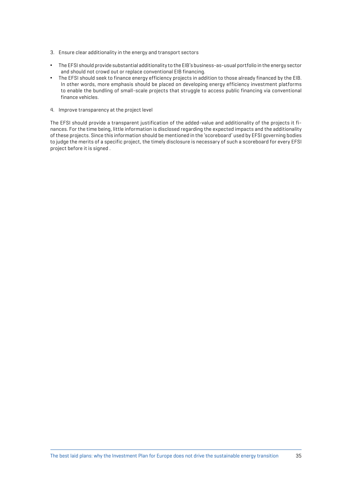- 3. Ensure clear additionality in the energy and transport sectors
- The EFSI should provide substantial additionality to the EIB's business-as-usual portfolio in the energy sector and should not crowd out or replace conventional EIB financing.
- The EFSI should seek to finance energy efficiency projects in addition to those already financed by the EIB. In other words, more emphasis should be placed on developing energy efficiency investment platforms to enable the bundling of small-scale projects that struggle to access public financing via conventional finance vehicles.
- 4. Improve transparency at the project level

The EFSI should provide a transparent justification of the added-value and additionality of the projects it finances. For the time being, little information is disclosed regarding the expected impacts and the additionality of these projects. Since this information should be mentioned in the 'scoreboard' used by EFSI governing bodies to judge the merits of a specific project, the timely disclosure is necessary of such a scoreboard for every EFSI project before it is signed .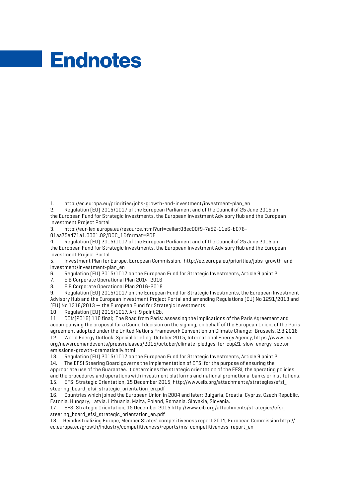### **Endnotes**

1. http://ec.europa.eu/priorities/jobs-growth-and-investment/investment-plan\_en

2. Regulation (EU) 2015/1017 of the European Parliament and of the Council of 25 June 2015 on the European Fund for Strategic Investments, the European Investment Advisory Hub and the European Investment Project Portal

3. http://eur-lex.europa.eu/resource.html?uri=cellar:08ec00f9-7a52-11e6-b076- 01aa75ed71a1.0001.02/DOC\_1&format=PDF

4. Regulation (EU) 2015/1017 of the European Parliament and of the Council of 25 June 2015 on the European Fund for Strategic Investments, the European Investment Advisory Hub and the European Investment Project Portal

5. Investment Plan for Europe, European Commission, http://ec.europa.eu/priorities/jobs-growth-andinvestment/investment-plan\_en

6. Regulation (EU) 2015/1017 on the European Fund for Strategic Investments, Article 9 point 2

7. EIB Corporate Operational Plan 2014-2016

8. EIB Corporate Operational Plan 2016-2018

9. Regulation (EU) 2015/1017 on the European Fund for Strategic Investments, the European Investment Advisory Hub and the European Investment Project Portal and amending Regulations (EU) No 1291/2013 and (EU) No 1316/2013 — the European Fund for Strategic Investments

10. Regulation (EU) 2015/1017, Art. 9 point 2b.

11. COM(2016) 110 final; The Road from Paris: assessing the implications of the Paris Agreement and accompanying the proposal for a Council decision on the signing, on behalf of the European Union, of the Paris agreement adopted under the United Nations Framework Convention on Climate Change; Brussels, 2.3.2016 12. World Energy Outlook. Special briefing. October 2015, International Energy Agency, https://www.iea.

org/newsroomandevents/pressreleases/2015/october/climate-pledges-for-cop21-slow-energy-sectoremissions-growth-dramatically.html

13. Regulation (EU) 2015/1017 on the European Fund for Strategic Investments, Article 9 point 2

14. The EFSI Steering Board governs the implementation of EFSI for the purpose of ensuring the appropriate use of the Guarantee. It determines the strategic orientation of the EFSI, the operating policies and the procedures and operations with investment platforms and national promotional banks or institutions. 15. EFSI Strategic Orientation, 15 December 2015, http://www.eib.org/attachments/strategies/efsi\_ steering board efsi strategic orientation en.pdf

16. Countries which joined the European Union in 2004 and later: Bulgaria, Croatia, Cyprus, Czech Republic, Estonia, Hungary, Latvia, Lithuania, Malta, Poland, Romania, Slovakia, Slovenia.

17. EFSI Strategic Orientation, 15 December 2015 http://www.eib.org/attachments/strategies/efsi\_ steering\_board\_efsi\_strategic\_orientation\_en.pdf

18. Reindustrializing Europe, Member States' competitiveness report 2014, European Commission http:// ec.europa.eu/growth/industry/competitiveness/reports/ms-competitiveness-report\_en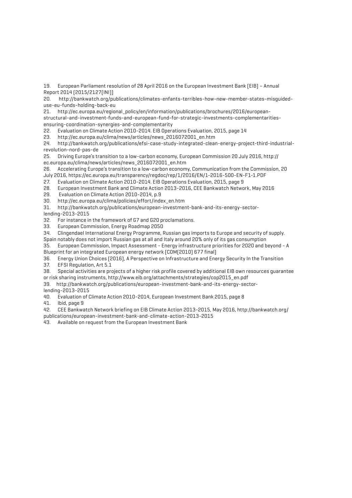19. European Parliament resolution of 28 April 2016 on the European Investment Bank (EIB) – Annual Report 2014 (2015/2127(INI))

20. http://bankwatch.org/publications/climates-enfants-terribles-how-new-member-states-misguideduse-eu-funds-holding-back-eu

21. http://ec.europa.eu/regional\_policy/en/information/publications/brochures/2016/european-

structural-and-investment-funds-and-european-fund-for-strategic-investments-complementaritiesensuring-coordination-synergies-and-complementarity

22. Evaluation on Climate Action 2010-2014. EIB Operations Evaluation, 2015, page 14

23. http://ec.europa.eu/clima/news/articles/news\_2016072001\_en.htm

24. http://bankwatch.org/publications/efsi-case-study-integrated-clean-energy-project-third-industrialrevolution-nord-pas-de

25. Driving Europe's transition to a low-carbon economy, European Commission 20 July 2016, http:// ec.europa.eu/clima/news/articles/news\_2016072001\_en.htm

26. Accelerating Europe's transition to a low-carbon economy, Communication from the Commission, 20 July 2016, https://ec.europa.eu/transparency/regdoc/rep/1/2016/EN/1-2016-500-EN-F1-1.PDF

27. Evaluation on Climate Action 2010-2014. EIB Operations Evaluation, 2015, page 9

28. European Investment Bank and Climate Action 2013-2016, CEE Bankwatch Network, May 2016

29. Evaluation on Climate Action 2010-2014, p.9

30. http://ec.europa.eu/clima/policies/effort/index\_en.htm

31. http://bankwatch.org/publications/european-investment-bank-and-its-energy-sector-

lending-2013-2015

32. For instance in the framework of G7 and G20 proclamations.

33. European Commission, Energy Roadmap 2050

34. Clingendael International Energy Programme, Russian gas imports to Europe and security of supply.

Spain notably does not import Russian gas at all and Italy around 20% only of its gas consumption

35. European Commission, Impact Assessment - Energy infrastructure priorities for 2020 and beyond - A Blueprint for an integrated European energy network (COM(2010) 677 final)

36. Energy Union Choices (2016), A Perspective on Infrastructure and Energy Security In the Transition

37. EFSI Regulation, Art 5.1

38. Special activities are projects of a higher risk profile covered by additional EIB own resources guarantee or risk sharing instruments, http://www.eib.org/attachments/strategies/cop2015\_en.pdf

39. http://bankwatch.org/publications/european-investment-bank-and-its-energy-sector-

lending-2013-2015

40. Evaluation of Climate Action 2010-2014, European Investment Bank 2015, page 8

41. Ibid, page 9

42. CEE Bankwatch Network briefing on EIB Climate Action 2013-2015, May 2016, http://bankwatch.org/

publications/european-investment-bank-and-climate-action-2013-2015

43. Available on request from the European Investment Bank